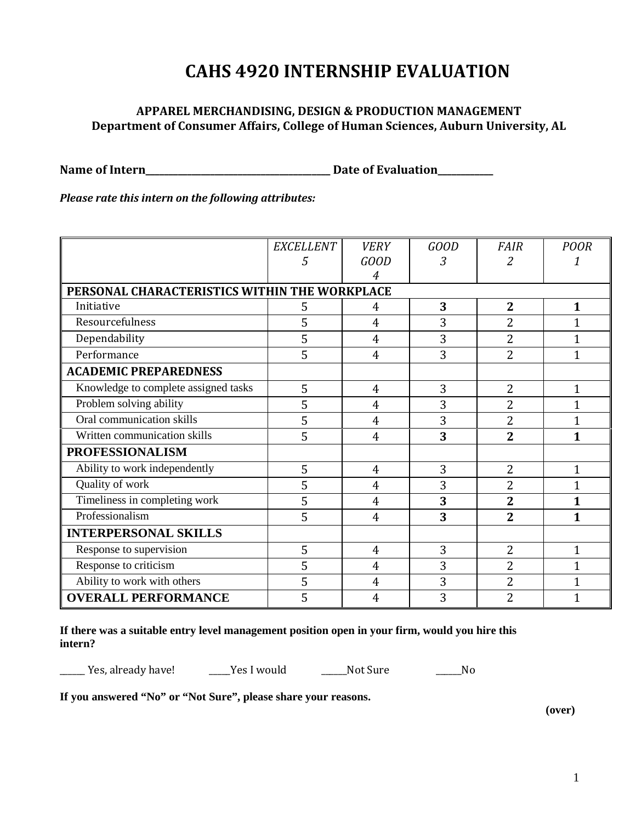## **CAHS 4920 INTERNSHIP EVALUATION**

## **APPAREL MERCHANDISING, DESIGN & PRODUCTION MANAGEMENT Department of Consumer Affairs, College of Human Sciences, Auburn University, AL**

**Name of Intern\_\_\_\_\_\_\_\_\_\_\_\_\_\_\_\_\_\_\_\_\_\_\_\_\_\_\_\_\_\_\_\_\_\_\_\_\_\_\_\_ Date of Evaluation\_\_\_\_\_\_\_\_\_\_\_\_**

*Please rate this intern on the following attributes:*

|                                               | <b>EXCELLENT</b> | <b>VERY</b>    | <b>GOOD</b> | <b>FAIR</b>    | <b>POOR</b>    |
|-----------------------------------------------|------------------|----------------|-------------|----------------|----------------|
|                                               | 5                | <b>GOOD</b>    | 3           | 2              |                |
|                                               |                  | 4              |             |                |                |
| PERSONAL CHARACTERISTICS WITHIN THE WORKPLACE |                  |                |             |                |                |
| Initiative                                    | 5                | 4              | 3           | $\overline{2}$ | 1              |
| Resourcefulness                               | 5                | $\overline{4}$ | 3           | 2              | 1              |
| Dependability                                 | 5                | $\overline{4}$ | 3           | 2              | $\mathbf{1}$   |
| Performance                                   | 5                | $\overline{4}$ | 3           | $\overline{2}$ | $\overline{1}$ |
| <b>ACADEMIC PREPAREDNESS</b>                  |                  |                |             |                |                |
| Knowledge to complete assigned tasks          | 5                | $\overline{4}$ | 3           | $\overline{2}$ | 1              |
| Problem solving ability                       | 5                | $\overline{4}$ | 3           | 2              | 1              |
| Oral communication skills                     | 5                | $\overline{4}$ | 3           | $\overline{2}$ | $\mathbf{1}$   |
| Written communication skills                  | 5                | $\overline{4}$ | 3           | $\overline{2}$ | 1              |
| <b>PROFESSIONALISM</b>                        |                  |                |             |                |                |
| Ability to work independently                 | 5                | $\overline{4}$ | 3           | $\overline{2}$ | 1              |
| Quality of work                               | 5                | $\overline{4}$ | 3           | $\overline{2}$ | 1              |
| Timeliness in completing work                 | 5                | $\overline{4}$ | 3           | $\overline{2}$ | 1              |
| Professionalism                               | 5                | $\overline{4}$ | 3           | $\overline{2}$ | 1              |
| <b>INTERPERSONAL SKILLS</b>                   |                  |                |             |                |                |
| Response to supervision                       | 5                | $\overline{4}$ | 3           | $\overline{2}$ | 1              |
| Response to criticism                         | 5                | $\overline{4}$ | 3           | $\overline{2}$ | 1              |
| Ability to work with others                   | 5                | $\overline{4}$ | 3           | $\overline{2}$ | $\overline{1}$ |
| <b>OVERALL PERFORMANCE</b>                    | 5                | 4              | 3           | $\overline{2}$ |                |

**If there was a suitable entry level management position open in your firm, would you hire this intern?**

\_\_\_\_\_\_ Yes, already have! \_\_\_\_\_Yes I would \_\_\_\_\_\_Not Sure \_\_\_\_\_\_No

**If you answered "No" or "Not Sure", please share your reasons.**

**(over)**